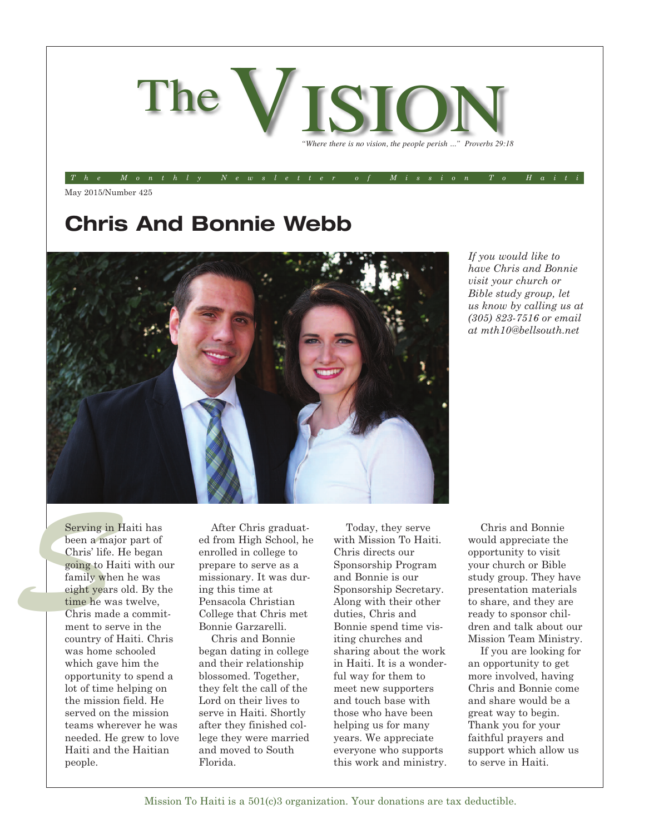

The Monthly Newsletter of Mission To Haiti

May 2015/Number 425

## **Chris And Bonnie Webb**



*If you would like to have Chris and Bonnie visit your church or Bible study group, let us know by calling us at (305) 823-7516 or email at mth10@bellsouth.net*

Serving in<br>
been a maj<br>
Chris' life.<br>
going to Handle and the service of the service of the service of the service of the service of the service of the service of the service of the service of the service of the service of Serving in Haiti has been a major part of Chris' life. He began going to Haiti with our family when he was eight years old. By the time he was twelve, Chris made a commitment to serve in the country of Haiti. Chris was home schooled which gave him the opportunity to spend a lot of time helping on the mission field. He served on the mission teams wherever he was needed. He grew to love Haiti and the Haitian people.

After Chris graduated from High School, he enrolled in college to prepare to serve as a missionary. It was during this time at Pensacola Christian College that Chris met Bonnie Garzarelli.

Chris and Bonnie began dating in college and their relationship blossomed. Together, they felt the call of the Lord on their lives to serve in Haiti. Shortly after they finished college they were married and moved to South Florida.

Today, they serve with Mission To Haiti. Chris directs our Sponsorship Program and Bonnie is our Sponsorship Secretary. Along with their other duties, Chris and Bonnie spend time visiting churches and sharing about the work in Haiti. It is a wonderful way for them to meet new supporters and touch base with those who have been helping us for many years. We appreciate everyone who supports this work and ministry.

Chris and Bonnie would appreciate the opportunity to visit your church or Bible study group. They have presentation materials to share, and they are ready to sponsor children and talk about our Mission Team Ministry.

If you are looking for an opportunity to get more involved, having Chris and Bonnie come and share would be a great way to begin. Thank you for your faithful prayers and support which allow us to serve in Haiti.